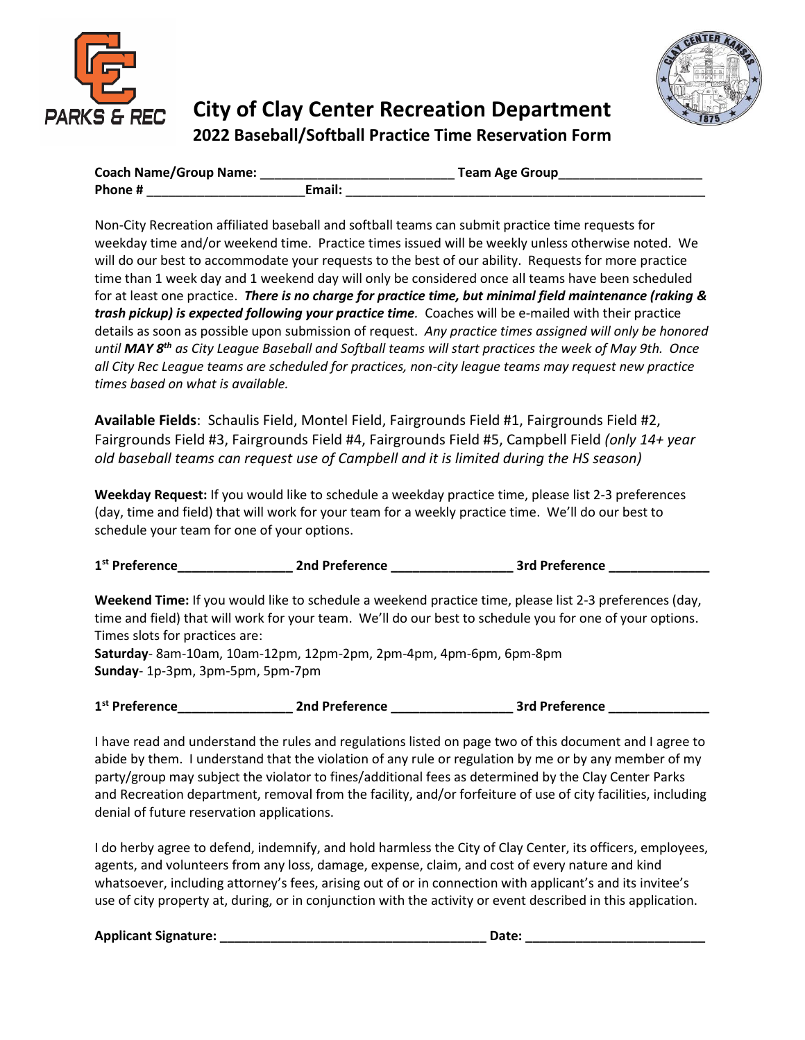



## **City of Clay Center Recreation Department 2022 Baseball/Softball Practice Time Reservation Form**

| <b>Coach Name/Group Name:</b> |        | <b>Team Age Group</b> |
|-------------------------------|--------|-----------------------|
| Phone #                       | Email: |                       |

Non-City Recreation affiliated baseball and softball teams can submit practice time requests for weekday time and/or weekend time. Practice times issued will be weekly unless otherwise noted. We will do our best to accommodate your requests to the best of our ability. Requests for more practice time than 1 week day and 1 weekend day will only be considered once all teams have been scheduled for at least one practice. *There is no charge for practice time, but minimal field maintenance (raking & trash pickup) is expected following your practice time.* Coaches will be e-mailed with their practice details as soon as possible upon submission of request. *Any practice times assigned will only be honored until MAY 8 th as City League Baseball and Softball teams will start practices the week of May 9th. Once all City Rec League teams are scheduled for practices, non-city league teams may request new practice times based on what is available.* 

**Available Fields**: Schaulis Field, Montel Field, Fairgrounds Field #1, Fairgrounds Field #2, Fairgrounds Field #3, Fairgrounds Field #4, Fairgrounds Field #5, Campbell Field *(only 14+ year old baseball teams can request use of Campbell and it is limited during the HS season)*

**Weekday Request:** If you would like to schedule a weekday practice time, please list 2-3 preferences (day, time and field) that will work for your team for a weekly practice time. We'll do our best to schedule your team for one of your options.

| 1 <sup>st</sup> Preference | 2nd Preference | <b>3rd Preference</b> |  |
|----------------------------|----------------|-----------------------|--|
|                            |                |                       |  |

**Weekend Time:** If you would like to schedule a weekend practice time, please list 2-3 preferences (day, time and field) that will work for your team. We'll do our best to schedule you for one of your options. Times slots for practices are: **Saturday**- 8am-10am, 10am-12pm, 12pm-2pm, 2pm-4pm, 4pm-6pm, 6pm-8pm

**Sunday**- 1p-3pm, 3pm-5pm, 5pm-7pm

| 1 <sup>st</sup> Preference | 2nd Preference | <b>3rd Preference</b> |  |
|----------------------------|----------------|-----------------------|--|
|                            |                |                       |  |

I have read and understand the rules and regulations listed on page two of this document and I agree to abide by them. I understand that the violation of any rule or regulation by me or by any member of my party/group may subject the violator to fines/additional fees as determined by the Clay Center Parks and Recreation department, removal from the facility, and/or forfeiture of use of city facilities, including denial of future reservation applications.

I do herby agree to defend, indemnify, and hold harmless the City of Clay Center, its officers, employees, agents, and volunteers from any loss, damage, expense, claim, and cost of every nature and kind whatsoever, including attorney's fees, arising out of or in connection with applicant's and its invitee's use of city property at, during, or in conjunction with the activity or event described in this application.

**Applicant Signature: \_\_\_\_\_\_\_\_\_\_\_\_\_\_\_\_\_\_\_\_\_\_\_\_\_\_\_\_\_\_\_\_\_\_\_\_\_ Date: \_\_\_\_\_\_\_\_\_\_\_\_\_\_\_\_\_\_\_\_\_\_\_\_\_**